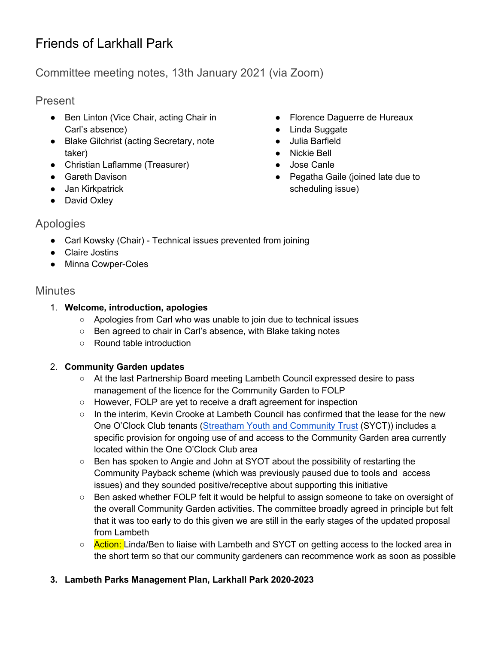# Friends of Larkhall Park

## Committee meeting notes, 13th January 2021 (via Zoom)

## Present

- Ben Linton (Vice Chair, acting Chair in Carl's absence)
- Blake Gilchrist (acting Secretary, note taker)
- Christian Laflamme (Treasurer)
- Gareth Davison
- Jan Kirkpatrick
- David Oxley
- Florence Daguerre de Hureaux
- Linda Suggate
- Julia Barfield
- Nickie Bell
- Jose Canle
- Pegatha Gaile (joined late due to scheduling issue)

## Apologies

- Carl Kowsky (Chair) Technical issues prevented from joining
- Claire Jostins
- Minna Cowper-Coles

## **Minutes**

#### 1. **Welcome, introduction, apologies**

- Apologies from Carl who was unable to join due to technical issues
- Ben agreed to chair in Carl's absence, with Blake taking notes
- Round table introduction

## 2. **Community Garden updates**

- At the last Partnership Board meeting Lambeth Council expressed desire to pass management of the licence for the Community Garden to FOLP
- However, FOLP are yet to receive a draft agreement for inspection
- In the interim, Kevin Crooke at Lambeth Council has confirmed that the lease for the new One O'Clock Club tenants (Streatham Youth and Community Trust (SYCT)) includes a specific provision for ongoing use of and access to the Community Garden area currently located within the One O'Clock Club area
- Ben has spoken to Angie and John at SYOT about the possibility of restarting the Community Payback scheme (which was previously paused due to tools and access issues) and they sounded positive/receptive about supporting this initiative
- Ben asked whether FOLP felt it would be helpful to assign someone to take on oversight of the overall Community Garden activities. The committee broadly agreed in principle but felt that it was too early to do this given we are still in the early stages of the updated proposal from Lambeth
- Action: Linda/Ben to liaise with Lambeth and SYCT on getting access to the locked area in the short term so that our community gardeners can recommence work as soon as possible

## **3. Lambeth Parks Management Plan, Larkhall Park 2020-2023**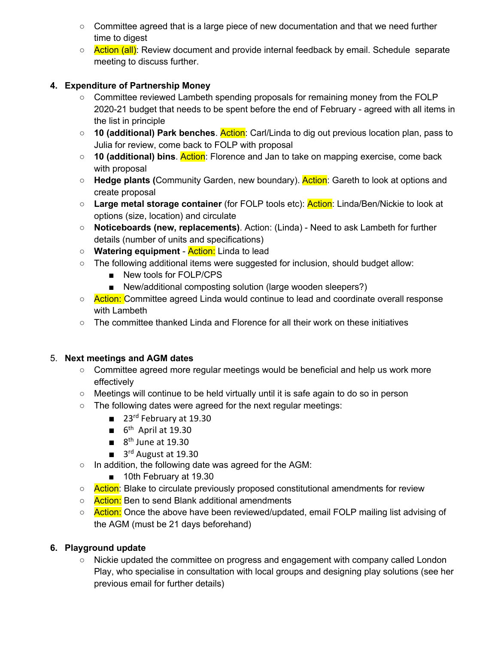- Committee agreed that is a large piece of new documentation and that we need further time to digest
- Action (all): Review document and provide internal feedback by email. Schedule separate meeting to discuss further.

#### **4. Expenditure of Partnership Money**

- Committee reviewed Lambeth spending proposals for remaining money from the FOLP 2020-21 budget that needs to be spent before the end of February - agreed with all items in the list in principle
- **10 (additional) Park benches**. Action: Carl/Linda to dig out previous location plan, pass to Julia for review, come back to FOLP with proposal
- **10 (additional) bins**. Action: Florence and Jan to take on mapping exercise, come back with proposal
- **Hedge plants (**Community Garden, new boundary). Action: Gareth to look at options and create proposal
- **Large metal storage container** (for FOLP tools etc): Action: Linda/Ben/Nickie to look at options (size, location) and circulate
- **Noticeboards (new, replacements)**. Action: (Linda) Need to ask Lambeth for further details (number of units and specifications)
- **Watering equipment** Action: Linda to lead
- The following additional items were suggested for inclusion, should budget allow:
	- New tools for FOLP/CPS
	- New/additional composting solution (large wooden sleepers?)
- Action: Committee agreed Linda would continue to lead and coordinate overall response with Lambeth
- $\circ$  The committee thanked Linda and Florence for all their work on these initiatives

#### 5. **Next meetings and AGM dates**

- Committee agreed more regular meetings would be beneficial and help us work more effectively
- Meetings will continue to be held virtually until it is safe again to do so in person
- The following dates were agreed for the next regular meetings:
	- 23<sup>rd</sup> February at 19.30
	- $\blacksquare$  6<sup>th</sup> April at 19.30
	- $\blacksquare$  8<sup>th</sup> June at 19.30
	- 3<sup>rd</sup> August at 19.30
- In addition, the following date was agreed for the AGM:
	- 10th February at 19.30
- Action: Blake to circulate previously proposed constitutional amendments for review
- **Action:** Ben to send Blank additional amendments
- Action: Once the above have been reviewed/updated, email FOLP mailing list advising of the AGM (must be 21 days beforehand)

#### **6. Playground update**

○ Nickie updated the committee on progress and engagement with company called London Play, who specialise in consultation with local groups and designing play solutions (see her previous email for further details)